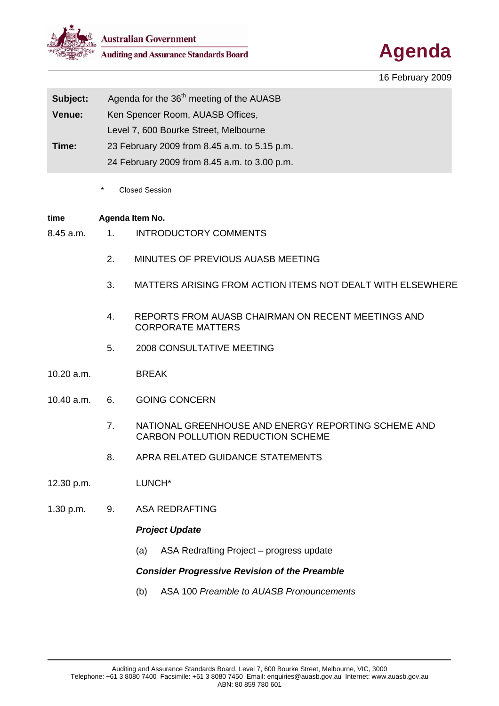

Australian Government<br>Auditing and Assurance Standards Board **Agenda** 



16 February 2009

| Subject:      | Agenda for the 36 <sup>th</sup> meeting of the AUASB |
|---------------|------------------------------------------------------|
| <b>Venue:</b> | Ken Spencer Room, AUASB Offices,                     |
|               | Level 7, 600 Bourke Street, Melbourne                |
| Time:         | 23 February 2009 from 8.45 a.m. to 5.15 p.m.         |
|               | 24 February 2009 from 8.45 a.m. to 3.00 p.m.         |

Closed Session

# **time Agenda Item No.**

- 8.45 a.m. 1. INTRODUCTORY COMMENTS
	- 2. MINUTES OF PREVIOUS AUASB MEETING
	- 3. MATTERS ARISING FROM ACTION ITEMS NOT DEALT WITH ELSEWHERE
	- 4. REPORTS FROM AUASB CHAIRMAN ON RECENT MEETINGS AND CORPORATE MATTERS
	- 5. 2008 CONSULTATIVE MEETING
- 10.20 a.m. BREAK
- 10.40 a.m. 6. GOING CONCERN
	- 7. NATIONAL GREENHOUSE AND ENERGY REPORTING SCHEME AND CARBON POLLUTION REDUCTION SCHEME
	- 8. APRA RELATED GUIDANCE STATEMENTS
- 12.30 p.m. LUNCH\*
- 1.30 p.m. 9. ASA REDRAFTING

# *Project Update*

(a) ASA Redrafting Project – progress update

# *Consider Progressive Revision of the Preamble*

(b) ASA 100 *Preamble to AUASB Pronouncements*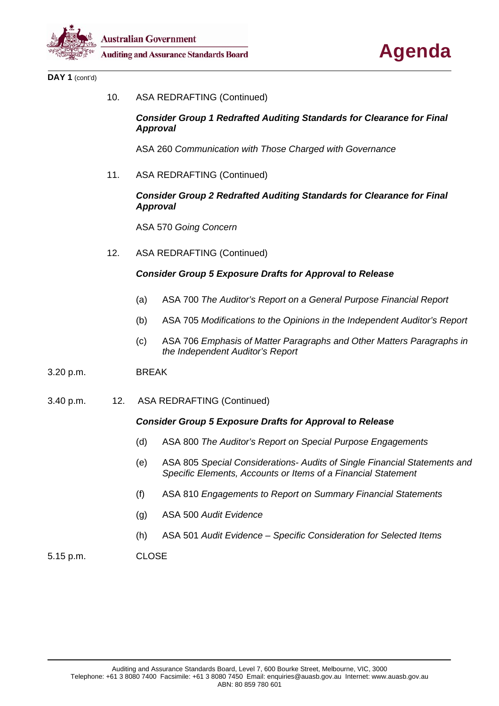



DAY 1 (cont'd)

10. ASA REDRAFTING (Continued)

#### *Consider Group 1 Redrafted Auditing Standards for Clearance for Final Approval*

ASA 260 *Communication with Those Charged with Governance* 

11. ASA REDRAFTING (Continued)

# *Consider Group 2 Redrafted Auditing Standards for Clearance for Final Approval*

ASA 570 *Going Concern*

12. ASA REDRAFTING (Continued)

# *Consider Group 5 Exposure Drafts for Approval to Release*

- (a) ASA 700 *The Auditor's Report on a General Purpose Financial Report*
- (b) ASA 705 *Modifications to the Opinions in the Independent Auditor's Report*
- (c) ASA 706 *Emphasis of Matter Paragraphs and Other Matters Paragraphs in the Independent Auditor's Report*
- 3.20 p.m. BREAK
- 3.40 p.m. 12. ASA REDRAFTING (Continued)

# *Consider Group 5 Exposure Drafts for Approval to Release*

- (d) ASA 800 *The Auditor's Report on Special Purpose Engagements*
- (e) ASA 805 *Special Considerations- Audits of Single Financial Statements and Specific Elements, Accounts or Items of a Financial Statement*
- (f) ASA 810 *Engagements to Report on Summary Financial Statements*
- (g) ASA 500 *Audit Evidence*
- (h) ASA 501 *Audit Evidence Specific Consideration for Selected Items*

#### 5.15 p.m. CLOSE